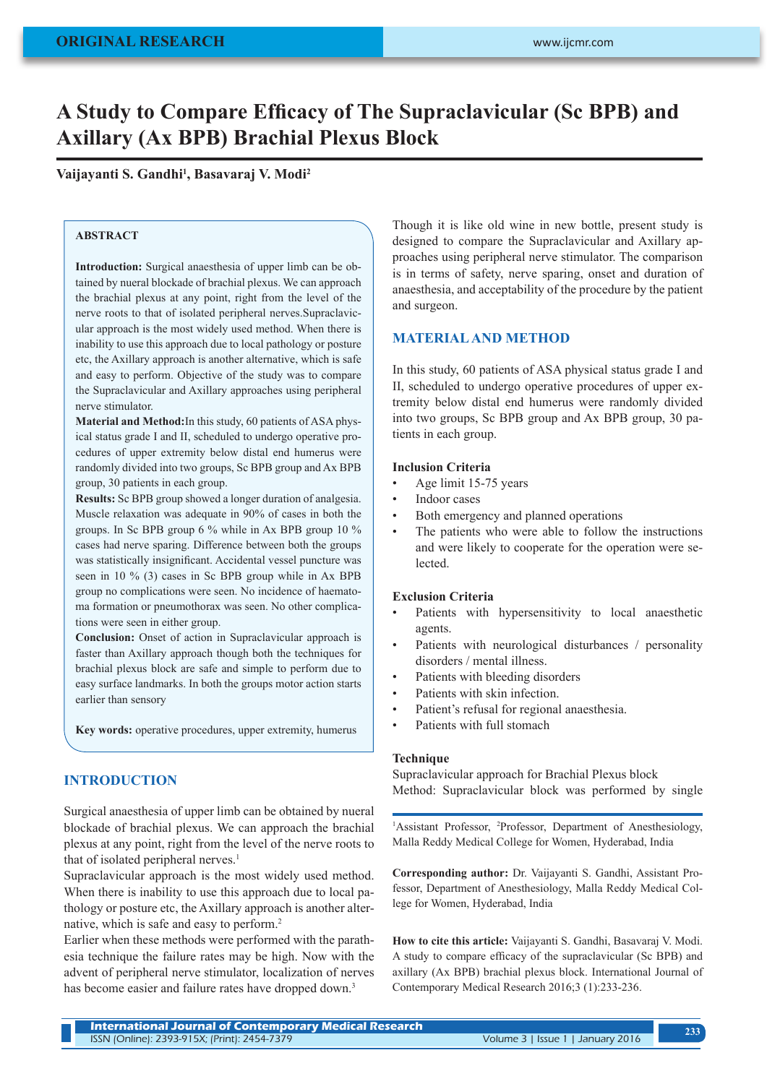# **A Study to Compare Efficacy of The Supraclavicular (Sc BPB) and Axillary (Ax BPB) Brachial Plexus Block**

## **Vaijayanti S. Gandhi<sup>1</sup> , Basavaraj V. Modi<sup>2</sup>**

## **ABSTRACT**

**Introduction:** Surgical anaesthesia of upper limb can be obtained by nueral blockade of brachial plexus. We can approach the brachial plexus at any point, right from the level of the nerve roots to that of isolated peripheral nerves.Supraclavicular approach is the most widely used method. When there is inability to use this approach due to local pathology or posture etc, the Axillary approach is another alternative, which is safe and easy to perform. Objective of the study was to compare the Supraclavicular and Axillary approaches using peripheral nerve stimulator.

**Material and Method:**In this study, 60 patients of ASA physical status grade I and II, scheduled to undergo operative procedures of upper extremity below distal end humerus were randomly divided into two groups, Sc BPB group and Ax BPB group, 30 patients in each group.

**Results:** Sc BPB group showed a longer duration of analgesia. Muscle relaxation was adequate in 90% of cases in both the groups. In Sc BPB group 6 % while in Ax BPB group 10 % cases had nerve sparing. Difference between both the groups was statistically insignificant. Accidental vessel puncture was seen in 10 % (3) cases in Sc BPB group while in Ax BPB group no complications were seen. No incidence of haematoma formation or pneumothorax was seen. No other complications were seen in either group.

**Conclusion:** Onset of action in Supraclavicular approach is faster than Axillary approach though both the techniques for brachial plexus block are safe and simple to perform due to easy surface landmarks. In both the groups motor action starts earlier than sensory

**Key words:** operative procedures, upper extremity, humerus

## **INTRODUCTION**

Surgical anaesthesia of upper limb can be obtained by nueral blockade of brachial plexus. We can approach the brachial plexus at any point, right from the level of the nerve roots to that of isolated peripheral nerves.<sup>1</sup>

Supraclavicular approach is the most widely used method. When there is inability to use this approach due to local pathology or posture etc, the Axillary approach is another alternative, which is safe and easy to perform.<sup>2</sup>

Earlier when these methods were performed with the parathesia technique the failure rates may be high. Now with the advent of peripheral nerve stimulator, localization of nerves has become easier and failure rates have dropped down.<sup>3</sup>

Though it is like old wine in new bottle, present study is designed to compare the Supraclavicular and Axillary approaches using peripheral nerve stimulator. The comparison is in terms of safety, nerve sparing, onset and duration of anaesthesia, and acceptability of the procedure by the patient and surgeon.

## **MATERIAL AND METHOD**

In this study, 60 patients of ASA physical status grade I and II, scheduled to undergo operative procedures of upper extremity below distal end humerus were randomly divided into two groups, Sc BPB group and Ax BPB group, 30 patients in each group.

#### **Inclusion Criteria**

- Age limit 15-75 years
- Indoor cases
- Both emergency and planned operations
- The patients who were able to follow the instructions and were likely to cooperate for the operation were selected.

#### **Exclusion Criteria**

- Patients with hypersensitivity to local anaesthetic agents.
- Patients with neurological disturbances / personality disorders / mental illness.
- Patients with bleeding disorders
- Patients with skin infection.
- Patient's refusal for regional anaesthesia.
- Patients with full stomach

#### **Technique**

Supraclavicular approach for Brachial Plexus block Method: Supraclavicular block was performed by single

<sup>1</sup>Assistant Professor, <sup>2</sup>Professor, Department of Anesthesiology, Malla Reddy Medical College for Women, Hyderabad, India

**Corresponding author:** Dr. Vaijayanti S. Gandhi, Assistant Professor, Department of Anesthesiology, Malla Reddy Medical College for Women, Hyderabad, India

**How to cite this article:** Vaijayanti S. Gandhi, Basavaraj V. Modi. A study to compare efficacy of the supraclavicular (Sc BPB) and axillary (Ax BPB) brachial plexus block. International Journal of Contemporary Medical Research 2016;3 (1):233-236.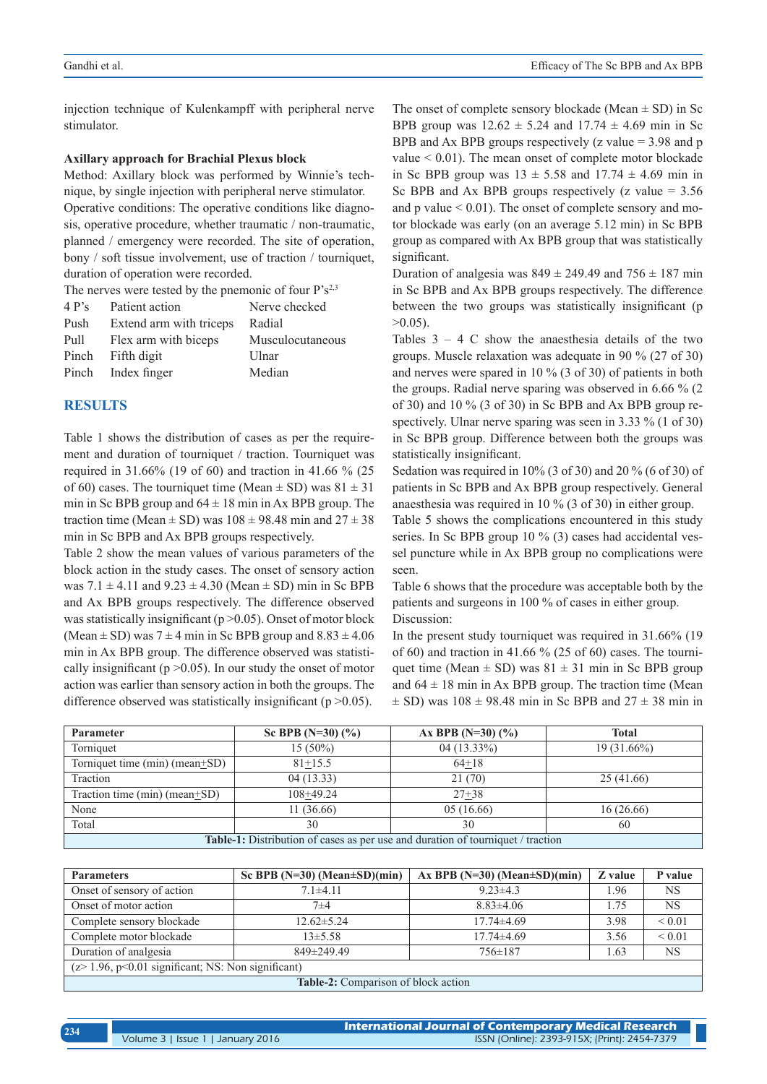injection technique of Kulenkampff with peripheral nerve stimulator.

#### **Axillary approach for Brachial Plexus block**

Method: Axillary block was performed by Winnie's technique, by single injection with peripheral nerve stimulator. Operative conditions: The operative conditions like diagnosis, operative procedure, whether traumatic / non-traumatic, planned / emergency were recorded. The site of operation, bony / soft tissue involvement, use of traction / tourniquet, duration of operation were recorded.

| The nerves were tested by the pnemonic of four $P's^{2,3}$ |                         |                  |  |
|------------------------------------------------------------|-------------------------|------------------|--|
| 4P <sub>S</sub>                                            | Patient action          | Nerve checked    |  |
| Push                                                       | Extend arm with triceps | Radial           |  |
| Pull                                                       | Flex arm with biceps    | Musculocutaneous |  |
|                                                            | Pinch Fifth digit       | Ulnar            |  |

Pinch Index finger Median

#### **RESULTS**

Table 1 shows the distribution of cases as per the requirement and duration of tourniquet / traction. Tourniquet was required in 31.66% (19 of 60) and traction in 41.66 % (25 of 60) cases. The tourniquet time (Mean  $\pm$  SD) was  $81 \pm 31$ min in Sc BPB group and  $64 \pm 18$  min in Ax BPB group. The traction time (Mean  $\pm$  SD) was  $108 \pm 98.48$  min and  $27 \pm 38$ min in Sc BPB and Ax BPB groups respectively.

Table 2 show the mean values of various parameters of the block action in the study cases. The onset of sensory action was  $7.1 \pm 4.11$  and  $9.23 \pm 4.30$  (Mean  $\pm$  SD) min in Sc BPB and Ax BPB groups respectively. The difference observed was statistically insignificant ( $p > 0.05$ ). Onset of motor block (Mean  $\pm$  SD) was 7  $\pm$  4 min in Sc BPB group and 8.83  $\pm$  4.06 min in Ax BPB group. The difference observed was statistically insignificant ( $p > 0.05$ ). In our study the onset of motor action was earlier than sensory action in both the groups. The difference observed was statistically insignificant ( $p > 0.05$ ).

The onset of complete sensory blockade (Mean  $\pm$  SD) in Sc BPB group was  $12.62 \pm 5.24$  and  $17.74 \pm 4.69$  min in Sc BPB and Ax BPB groups respectively (z value  $=$  3.98 and p value < 0.01). The mean onset of complete motor blockade in Sc BPB group was  $13 \pm 5.58$  and  $17.74 \pm 4.69$  min in Sc BPB and Ax BPB groups respectively (z value  $= 3.56$ ) and p value  $\leq 0.01$ ). The onset of complete sensory and motor blockade was early (on an average 5.12 min) in Sc BPB group as compared with Ax BPB group that was statistically significant.

Duration of analgesia was  $849 \pm 249.49$  and  $756 \pm 187$  min in Sc BPB and Ax BPB groups respectively. The difference between the two groups was statistically insignificant (p  $>0.05$ ).

Tables  $3 - 4$  C show the anaesthesia details of the two groups. Muscle relaxation was adequate in 90 % (27 of 30) and nerves were spared in 10 % (3 of 30) of patients in both the groups. Radial nerve sparing was observed in 6.66 % (2 of 30) and 10 % (3 of 30) in Sc BPB and Ax BPB group respectively. Ulnar nerve sparing was seen in 3.33 % (1 of 30) in Sc BPB group. Difference between both the groups was statistically insignificant.

Sedation was required in 10% (3 of 30) and 20 % (6 of 30) of patients in Sc BPB and Ax BPB group respectively. General anaesthesia was required in 10 % (3 of 30) in either group.

Table 5 shows the complications encountered in this study series. In Sc BPB group 10 % (3) cases had accidental vessel puncture while in Ax BPB group no complications were seen.

Table 6 shows that the procedure was acceptable both by the patients and surgeons in 100 % of cases in either group. Discussion:

In the present study tourniquet was required in 31.66% (19 of 60) and traction in 41.66 % (25 of 60) cases. The tourniquet time (Mean  $\pm$  SD) was 81  $\pm$  31 min in Sc BPB group and  $64 \pm 18$  min in Ax BPB group. The traction time (Mean  $\pm$  SD) was 108  $\pm$  98.48 min in Sc BPB and 27  $\pm$  38 min in

| <b>Parameter</b>                                                                       | Sc BPB $(N=30)$ $(\%$ ) | Ax BPB $(N=30)$ $(\%$ ) | Total         |
|----------------------------------------------------------------------------------------|-------------------------|-------------------------|---------------|
| Torniquet                                                                              | $15(50\%)$              | $04(13.33\%)$           | $19(31.66\%)$ |
| Torniquet time (min) (mean+SD)                                                         | $81 + 15.5$             | $64+18$                 |               |
| Traction                                                                               | 04(13.33)               | 21(70)                  | 25(41.66)     |
| Traction time $(min)$ (mean $+SD$ )                                                    | $108+49.24$             | $27 + 38$               |               |
| None                                                                                   | 11(36.66)               | 05(16.66)               | 16(26.66)     |
| Total                                                                                  | 30                      | 30                      | 60            |
| <b>Table-1:</b> Distribution of cases as per use and duration of tourniquet / traction |                         |                         |               |

| <b>Parameters</b>                                   | Sc BPB ( $N=30$ ) (Mean $\pm SD$ )(min) | Ax BPB $(N=30)$ (Mean $\pm SD$ )(min) | Z value | P value     |
|-----------------------------------------------------|-----------------------------------------|---------------------------------------|---------|-------------|
| Onset of sensory of action                          | $7.1 \pm 4.11$                          | $9.23 \pm 4.3$                        | 1.96    | <b>NS</b>   |
| Onset of motor action                               | $7\pm4$                                 | $8.83\pm4.06$                         | 1.75    | <b>NS</b>   |
| Complete sensory blockade                           | $12.62 \pm 5.24$                        | $17.74\pm4.69$                        | 3.98    | ${}< 0.01$  |
| Complete motor blockade                             | $13\pm5.58$                             | $17.74 \pm 4.69$                      | 3.56    | ${}_{0.01}$ |
| Duration of analgesia                               | 849±249.49                              | $756 \pm 187$                         | 1.63    | <b>NS</b>   |
| $(z>1.96, p<0.01$ significant; NS: Non significant) |                                         |                                       |         |             |
| <b>Table-2:</b> Comparison of block action          |                                         |                                       |         |             |

**Table-2:** Comparison of block action

| 234 |                                   | International Journal of Contemporary Medical Research |
|-----|-----------------------------------|--------------------------------------------------------|
|     | Volume 3   Issue 1   January 2016 | ISSN (Online): 2393-915X; (Print): 2454-7379           |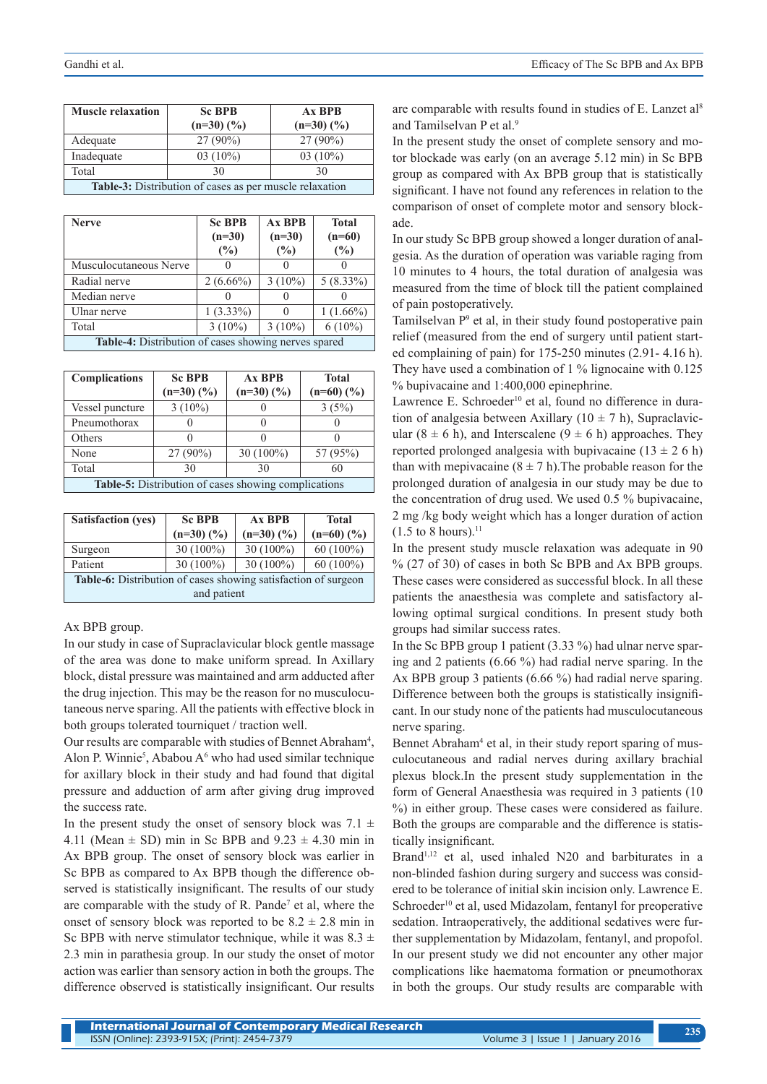| <b>Muscle relaxation</b>                                       | <b>Sc BPB</b> | $Ax$ BPB                 |  |
|----------------------------------------------------------------|---------------|--------------------------|--|
|                                                                | $(n=30)(\%)$  | $(n=30)$ $(\frac{9}{6})$ |  |
| Adequate                                                       | $27(90\%)$    | $27(90\%)$               |  |
| Inadequate                                                     | $03(10\%)$    | $03(10\%)$               |  |
| Total                                                          | 30            | 30                       |  |
| <b>Table-3:</b> Distribution of cases as per muscle relaxation |               |                          |  |

| <b>Nerve</b>                                         | <b>Sc BPB</b><br>$(n=30)$ | <b>Ax BPB</b><br>$(n=30)$ | <b>Total</b><br>$(n=60)$ |
|------------------------------------------------------|---------------------------|---------------------------|--------------------------|
|                                                      | (%)                       | (%)                       | (%)                      |
| Musculocutaneous Nerve                               |                           |                           |                          |
| Radial nerve                                         | $2(6.66\%)$               | $3(10\%)$                 | $5(8.33\%)$              |
| Median nerve                                         |                           | $\left( \right)$          |                          |
| Ulnar nerve                                          | $1(3.33\%)$               | $\Omega$                  | $1(1.66\%)$              |
| Total                                                | $3(10\%)$                 | $3(10\%)$                 | $6(10\%)$                |
| Table-4: Distribution of cases showing nerves spared |                           |                           |                          |

| <b>Complications</b>                                        | <b>Sc BPB</b><br>$(n=30)(%)$ | Ax BPB<br>$(n=30)(%)$ | <b>Total</b><br>$(n=60)$ $(\%$ ) |
|-------------------------------------------------------------|------------------------------|-----------------------|----------------------------------|
| Vessel puncture                                             | $3(10\%)$                    |                       | 3(5%)                            |
| Pneumothorax                                                |                              |                       |                                  |
| Others                                                      |                              | $\mathbf{I}$          |                                  |
| None                                                        | 27 (90%)                     | $30(100\%)$           | 57 (95%)                         |
| Total                                                       | 30                           | 30                    | 60                               |
| <b>Table-5:</b> Distribution of cases showing complications |                              |                       |                                  |

| <b>Satisfaction (yes)</b>                                      | <b>Sc BPB</b> | Ax BPB       | <b>Total</b>             |
|----------------------------------------------------------------|---------------|--------------|--------------------------|
|                                                                | $(n=30)(%)$   | $(n=30)(\%)$ | $(n=60)$ $(\frac{9}{6})$ |
| Surgeon                                                        | $30(100\%)$   | $30(100\%)$  | $60(100\%)$              |
| Patient                                                        | $30(100\%)$   | $30(100\%)$  | $60(100\%)$              |
| Table-6: Distribution of cases showing satisfaction of surgeon |               |              |                          |
| and patient                                                    |               |              |                          |

#### Ax BPB group.

In our study in case of Supraclavicular block gentle massage of the area was done to make uniform spread. In Axillary block, distal pressure was maintained and arm adducted after the drug injection. This may be the reason for no musculocutaneous nerve sparing. All the patients with effective block in both groups tolerated tourniquet / traction well.

Our results are comparable with studies of Bennet Abraham<sup>4</sup>, Alon P. Winnie<sup>5</sup>, Ababou A<sup>6</sup> who had used similar technique for axillary block in their study and had found that digital pressure and adduction of arm after giving drug improved the success rate.

In the present study the onset of sensory block was  $7.1 \pm$ 4.11 (Mean  $\pm$  SD) min in Sc BPB and 9.23  $\pm$  4.30 min in Ax BPB group. The onset of sensory block was earlier in Sc BPB as compared to Ax BPB though the difference observed is statistically insignificant. The results of our study are comparable with the study of R. Pande<sup>7</sup> et al, where the onset of sensory block was reported to be  $8.2 \pm 2.8$  min in Sc BPB with nerve stimulator technique, while it was  $8.3 \pm$ 2.3 min in parathesia group. In our study the onset of motor action was earlier than sensory action in both the groups. The difference observed is statistically insignificant. Our results

are comparable with results found in studies of E. Lanzet al<sup>8</sup> and Tamilselvan P et al.<sup>9</sup>

In the present study the onset of complete sensory and motor blockade was early (on an average 5.12 min) in Sc BPB group as compared with Ax BPB group that is statistically significant. I have not found any references in relation to the comparison of onset of complete motor and sensory blockade.

In our study Sc BPB group showed a longer duration of analgesia. As the duration of operation was variable raging from 10 minutes to 4 hours, the total duration of analgesia was measured from the time of block till the patient complained of pain postoperatively.

Tamilselvan P<sup>9</sup> et al, in their study found postoperative pain relief (measured from the end of surgery until patient started complaining of pain) for 175-250 minutes (2.91- 4.16 h). They have used a combination of 1 % lignocaine with 0.125 % bupivacaine and 1:400,000 epinephrine.

Lawrence E. Schroeder<sup>10</sup> et al, found no difference in duration of analgesia between Axillary ( $10 \pm 7$  h), Supraclavicular  $(8 \pm 6 \text{ h})$ , and Interscalene  $(9 \pm 6 \text{ h})$  approaches. They reported prolonged analgesia with bupivacaine ( $13 \pm 26$  h) than with mepivacaine  $(8 \pm 7 \text{ h})$ . The probable reason for the prolonged duration of analgesia in our study may be due to the concentration of drug used. We used 0.5 % bupivacaine, 2 mg /kg body weight which has a longer duration of action  $(1.5 \text{ to } 8 \text{ hours})$ .<sup>11</sup>

In the present study muscle relaxation was adequate in 90 % (27 of 30) of cases in both Sc BPB and Ax BPB groups. These cases were considered as successful block. In all these patients the anaesthesia was complete and satisfactory allowing optimal surgical conditions. In present study both groups had similar success rates.

In the Sc BPB group 1 patient (3.33 %) had ulnar nerve sparing and 2 patients (6.66 %) had radial nerve sparing. In the Ax BPB group 3 patients (6.66 %) had radial nerve sparing. Difference between both the groups is statistically insignificant. In our study none of the patients had musculocutaneous nerve sparing.

Bennet Abraham<sup>4</sup> et al, in their study report sparing of musculocutaneous and radial nerves during axillary brachial plexus block.In the present study supplementation in the form of General Anaesthesia was required in 3 patients (10 %) in either group. These cases were considered as failure. Both the groups are comparable and the difference is statistically insignificant.

Brand<sup>1,12</sup> et al, used inhaled N20 and barbiturates in a non-blinded fashion during surgery and success was considered to be tolerance of initial skin incision only. Lawrence E. Schroeder<sup>10</sup> et al, used Midazolam, fentanyl for preoperative sedation. Intraoperatively, the additional sedatives were further supplementation by Midazolam, fentanyl, and propofol. In our present study we did not encounter any other major complications like haematoma formation or pneumothorax in both the groups. Our study results are comparable with